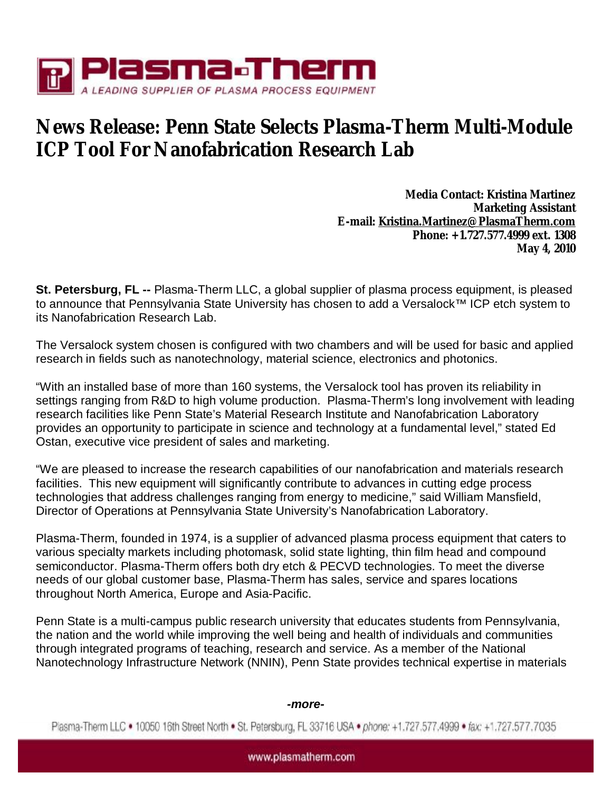

## **News Release: Penn State Selects Plasma-Therm Multi-Module ICP Tool For Nanofabrication Research Lab**

**Media Contact: Kristina Martinez Marketing Assistant E-mail: [Kristina.Martinez@PlasmaTherm.com](mailto:Kristina.Martinez@PlasmaTherm.com) Phone: +1.727.577.4999 ext. 1308 May 4, 2010** 

**St. Petersburg, FL --** Plasma-Therm LLC, a global supplier of plasma process equipment, is pleased to announce that Pennsylvania State University has chosen to add a Versalock™ ICP etch system to its Nanofabrication Research Lab.

The Versalock system chosen is configured with two chambers and will be used for basic and applied research in fields such as nanotechnology, material science, electronics and photonics.

"With an installed base of more than 160 systems, the Versalock tool has proven its reliability in settings ranging from R&D to high volume production. Plasma-Therm's long involvement with leading research facilities like Penn State's Material Research Institute and Nanofabrication Laboratory provides an opportunity to participate in science and technology at a fundamental level," stated Ed Ostan, executive vice president of sales and marketing.

"We are pleased to increase the research capabilities of our nanofabrication and materials research facilities. This new equipment will significantly contribute to advances in cutting edge process technologies that address challenges ranging from energy to medicine," said William Mansfield, Director of Operations at Pennsylvania State University's Nanofabrication Laboratory.

Plasma-Therm, founded in 1974, is a supplier of advanced plasma process equipment that caters to various specialty markets including photomask, solid state lighting, thin film head and compound semiconductor. Plasma-Therm offers both dry etch & PECVD technologies. To meet the diverse needs of our global customer base, Plasma-Therm has sales, service and spares locations throughout North America, Europe and Asia-Pacific.

Penn State is a multi-campus public research university that educates students from Pennsylvania, the nation and the world while improving the well being and health of individuals and communities through integrated programs of teaching, research and service. As a member of the National Nanotechnology Infrastructure Network (NNIN), Penn State provides technical expertise in materials

## *-more-*

Plasma-Therm LLC . 10050 16th Street North . St. Petersburg, FL 33716 USA . phone: +1.727.577.4999 . fax: +1.727.577.7035

www.plasmatherm.com